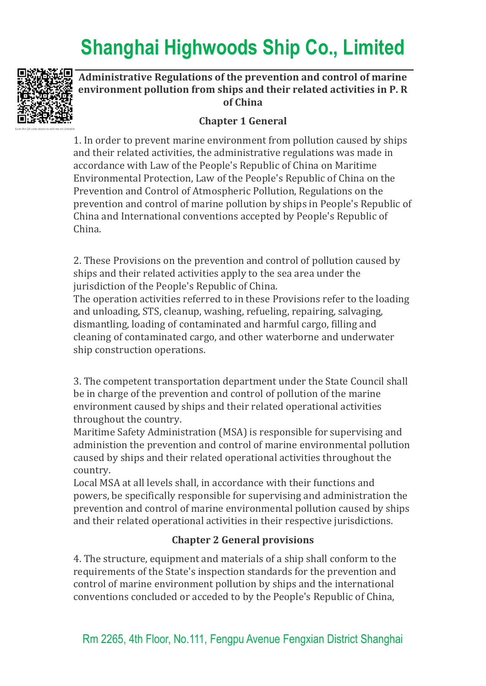

#### **Administrative Regulations of the prevention and control of marine environment pollution from ships and their related activities in P. R of China**

#### **Chapter 1 General**

1. In order to prevent marine environment from pollution caused by ships and their related activities, the administrative regulations was made in accordance with Law of the People's Republic of China on Maritime Environmental Protection, Law of the People's Republic of China on the Prevention and Control of Atmospheric Pollution, Regulations on the prevention and control of marine pollution by ships in People's Republic of China and International conventions accepted by People's Republic of China.

2. These Provisions on the prevention and control of pollution caused by ships and their related activities apply to the sea area under the jurisdiction of the People's Republic of China.

The operation activities referred to in these Provisions refer to the loading and unloading, STS, cleanup, washing, refueling, repairing, salvaging, dismantling, loading of contaminated and harmful cargo, filling and cleaning of contaminated cargo, and other waterborne and underwater ship construction operations.

3. The competent transportation department under the State Council shall be in charge of the prevention and control of pollution of the marine environment caused by ships and their related operational activities throughout the country.

Maritime Safety Administration (MSA) is responsible for supervising and administion the prevention and control of marine environmental pollution caused by ships and their related operational activities throughout the country.

Local MSA at all levels shall, in accordance with their functions and powers, be specifically responsible for supervising and administration the prevention and control of marine environmental pollution caused by ships and their related operational activities in their respective jurisdictions.

#### **Chapter 2 General provisions**

4. The structure, equipment and materials of a ship shall conform to the requirements of the State's inspection standards for the prevention and control of marine environment pollution by ships and the international conventions concluded or acceded to by the People's Republic of China,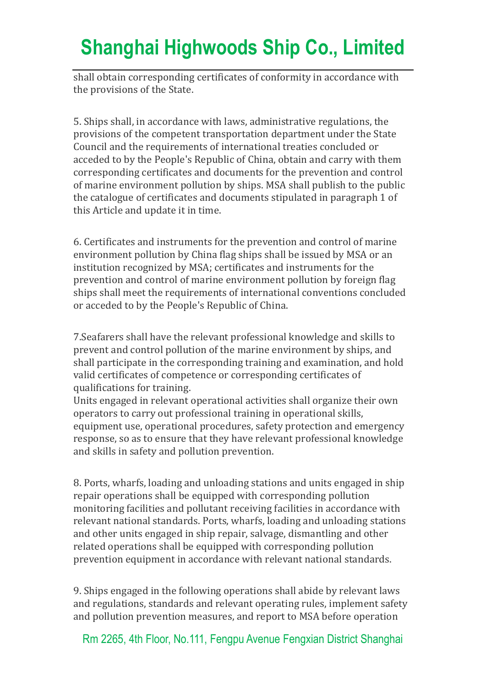shall obtain corresponding certificates of conformity in accordance with the provisions of the State.

5. Ships shall, in accordance with laws, administrative regulations, the provisions of the competent transportation department under the State Council and the requirements of international treaties concluded or acceded to by the People's Republic of China, obtain and carry with them corresponding certificates and documents for the prevention and control of marine environment pollution by ships. MSA shall publish to the public the catalogue of certificates and documents stipulated in paragraph 1 of this Article and update it in time.

6. Certificates and instruments for the prevention and control of marine environment pollution by China flag ships shall be issued by MSA or an institution recognized by MSA; certificates and instruments for the prevention and control of marine environment pollution by foreign flag ships shall meet the requirements of international conventions concluded or acceded to by the People's Republic of China.

7.Seafarers shall have the relevant professional knowledge and skills to prevent and control pollution of the marine environment by ships, and shall participate in the corresponding training and examination, and hold valid certificates of competence or corresponding certificates of qualifications for training.

Units engaged in relevant operational activities shall organize their own operators to carry out professional training in operational skills, equipment use, operational procedures, safety protection and emergency response, so as to ensure that they have relevant professional knowledge and skills in safety and pollution prevention.

8. Ports, wharfs, loading and unloading stations and units engaged in ship repair operations shall be equipped with corresponding pollution monitoring facilities and pollutant receiving facilities in accordance with relevant national standards. Ports, wharfs, loading and unloading stations and other units engaged in ship repair, salvage, dismantling and other related operations shall be equipped with corresponding pollution prevention equipment in accordance with relevant national standards.

9. Ships engaged in the following operations shall abide by relevant laws and regulations, standards and relevant operating rules, implement safety and pollution prevention measures, and report to MSA before operation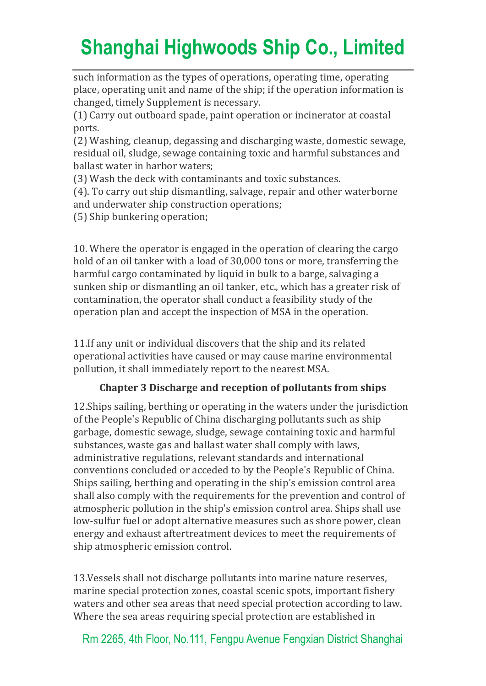such information as the types of operations, operating time, operating place, operating unit and name of the ship; if the operation information is changed, timely Supplement is necessary.

(1) Carry out outboard spade, paint operation or incinerator at coastal ports.

(2) Washing, cleanup, degassing and discharging waste, domestic sewage, residual oil, sludge, sewage containing toxic and harmful substances and ballast water in harbor waters;

(3) Wash the deck with contaminants and toxic substances.

(4). To carry out ship dismantling, salvage, repair and other waterborne and underwater ship construction operations;

(5) Ship bunkering operation;

10. Where the operator is engaged in the operation of clearing the cargo hold of an oil tanker with a load of 30,000 tons or more, transferring the harmful cargo contaminated by liquid in bulk to a barge, salvaging a sunken ship or dismantling an oil tanker, etc., which has a greater risk of contamination, the operator shall conduct a feasibility study of the operation plan and accept the inspection of MSA in the operation.

11.If any unit or individual discovers that the ship and its related operational activities have caused or may cause marine environmental pollution, it shall immediately report to the nearest MSA.

#### **Chapter 3 Discharge and reception of pollutants from ships**

12.Ships sailing, berthing or operating in the waters under the jurisdiction of the People's Republic of China discharging pollutants such as ship garbage, domestic sewage, sludge, sewage containing toxic and harmful substances, waste gas and ballast water shall comply with laws, administrative regulations, relevant standards and international conventions concluded or acceded to by the People's Republic of China. Ships sailing, berthing and operating in the ship's emission control area shall also comply with the requirements for the prevention and control of atmospheric pollution in the ship's emission control area. Ships shall use low-sulfur fuel or adopt alternative measures such as shore power, clean energy and exhaust aftertreatment devices to meet the requirements of ship atmospheric emission control.

13.Vessels shall not discharge pollutants into marine nature reserves, marine special protection zones, coastal scenic spots, important fishery waters and other sea areas that need special protection according to law. Where the sea areas requiring special protection are established in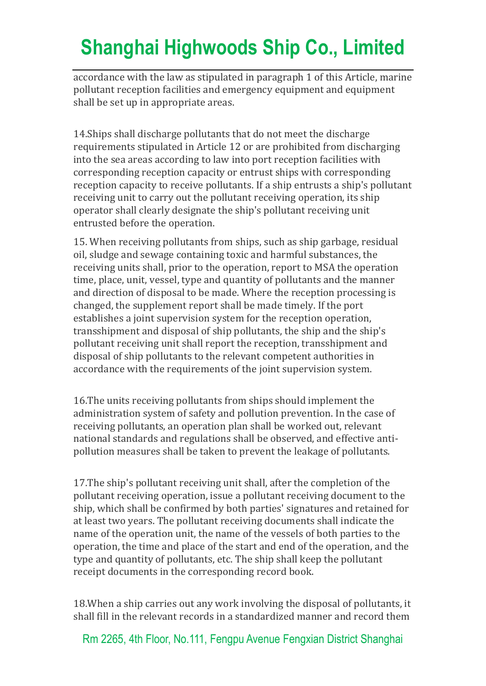accordance with the law as stipulated in paragraph 1 of this Article, marine pollutant reception facilities and emergency equipment and equipment shall be set up in appropriate areas.

14.Ships shall discharge pollutants that do not meet the discharge requirements stipulated in Article 12 or are prohibited from discharging into the sea areas according to law into port reception facilities with corresponding reception capacity or entrust ships with corresponding reception capacity to receive pollutants. If a ship entrusts a ship's pollutant receiving unit to carry out the pollutant receiving operation, its ship operator shall clearly designate the ship's pollutant receiving unit entrusted before the operation.

15. When receiving pollutants from ships, such as ship garbage, residual oil, sludge and sewage containing toxic and harmful substances, the receiving units shall, prior to the operation, report to MSA the operation time, place, unit, vessel, type and quantity of pollutants and the manner and direction of disposal to be made. Where the reception processing is changed, the supplement report shall be made timely. If the port establishes a joint supervision system for the reception operation, transshipment and disposal of ship pollutants, the ship and the ship's pollutant receiving unit shall report the reception, transshipment and disposal of ship pollutants to the relevant competent authorities in accordance with the requirements of the joint supervision system.

16.The units receiving pollutants from ships should implement the administration system of safety and pollution prevention. In the case of receiving pollutants, an operation plan shall be worked out, relevant national standards and regulations shall be observed, and effective antipollution measures shall be taken to prevent the leakage of pollutants.

17.The ship's pollutant receiving unit shall, after the completion of the pollutant receiving operation, issue a pollutant receiving document to the ship, which shall be confirmed by both parties' signatures and retained for at least two years. The pollutant receiving documents shall indicate the name of the operation unit, the name of the vessels of both parties to the operation, the time and place of the start and end of the operation, and the type and quantity of pollutants, etc. The ship shall keep the pollutant receipt documents in the corresponding record book.

18.When a ship carries out any work involving the disposal of pollutants, it shall fill in the relevant records in a standardized manner and record them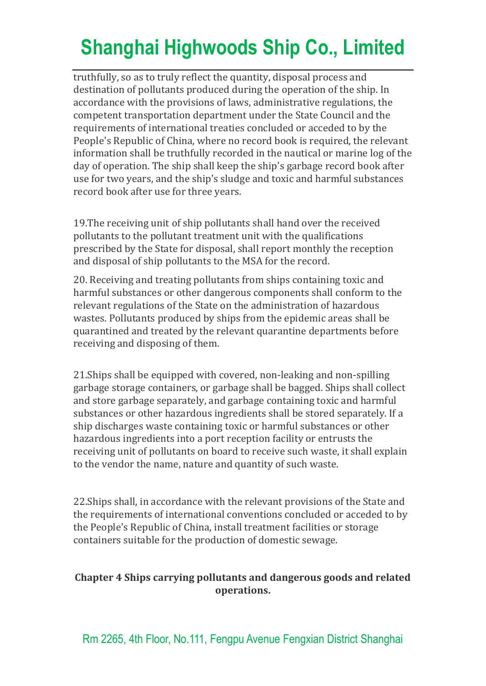truthfully, so as to truly reflect the quantity, disposal process and destination of pollutants produced during the operation of the ship. In accordance with the provisions of laws, administrative regulations, the competent transportation department under the State Council and the requirements of international treaties concluded or acceded to by the People's Republic of China, where no record book is required, the relevant information shall be truthfully recorded in the nautical or marine log of the day of operation. The ship shall keep the ship's garbage record book after use for two years, and the ship's sludge and toxic and harmful substances record book after use for three years.

19.The receiving unit of ship pollutants shall hand over the received pollutants to the pollutant treatment unit with the qualifications prescribed by the State for disposal, shall report monthly the reception and disposal of ship pollutants to the MSA for the record.

20. Receiving and treating pollutants from ships containing toxic and harmful substances or other dangerous components shall conform to the relevant regulations of the State on the administration of hazardous wastes. Pollutants produced by ships from the epidemic areas shall be quarantined and treated by the relevant quarantine departments before receiving and disposing of them.

21.Ships shall be equipped with covered, non-leaking and non-spilling garbage storage containers, or garbage shall be bagged. Ships shall collect and store garbage separately, and garbage containing toxic and harmful substances or other hazardous ingredients shall be stored separately. If a ship discharges waste containing toxic or harmful substances or other hazardous ingredients into a port reception facility or entrusts the receiving unit of pollutants on board to receive such waste, it shall explain to the vendor the name, nature and quantity of such waste.

22.Ships shall, in accordance with the relevant provisions of the State and the requirements of international conventions concluded or acceded to by the People's Republic of China, install treatment facilities or storage containers suitable for the production of domestic sewage.

#### **Chapter 4 Ships carrying pollutants and dangerous goods and related operations.**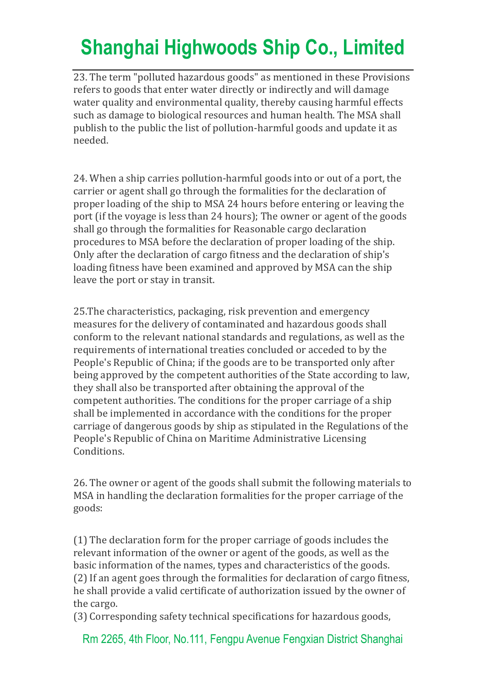23. The term "polluted hazardous goods" as mentioned in these Provisions refers to goods that enter water directly or indirectly and will damage water quality and environmental quality, thereby causing harmful effects such as damage to biological resources and human health. The MSA shall publish to the public the list of pollution-harmful goods and update it as needed.

24. When a ship carries pollution-harmful goods into or out of a port, the carrier or agent shall go through the formalities for the declaration of proper loading of the ship to MSA 24 hours before entering or leaving the port (if the voyage is less than 24 hours); The owner or agent of the goods shall go through the formalities for Reasonable cargo declaration procedures to MSA before the declaration of proper loading of the ship. Only after the declaration of cargo fitness and the declaration of ship's loading fitness have been examined and approved by MSA can the ship leave the port or stay in transit.

25.The characteristics, packaging, risk prevention and emergency measures for the delivery of contaminated and hazardous goods shall conform to the relevant national standards and regulations, as well as the requirements of international treaties concluded or acceded to by the People's Republic of China; if the goods are to be transported only after being approved by the competent authorities of the State according to law, they shall also be transported after obtaining the approval of the competent authorities. The conditions for the proper carriage of a ship shall be implemented in accordance with the conditions for the proper carriage of dangerous goods by ship as stipulated in the Regulations of the People's Republic of China on Maritime Administrative Licensing Conditions.

26. The owner or agent of the goods shall submit the following materials to MSA in handling the declaration formalities for the proper carriage of the goods:

(1) The declaration form for the proper carriage of goods includes the relevant information of the owner or agent of the goods, as well as the basic information of the names, types and characteristics of the goods. (2) If an agent goes through the formalities for declaration of cargo fitness, he shall provide a valid certificate of authorization issued by the owner of the cargo.

(3) Corresponding safety technical specifications for hazardous goods,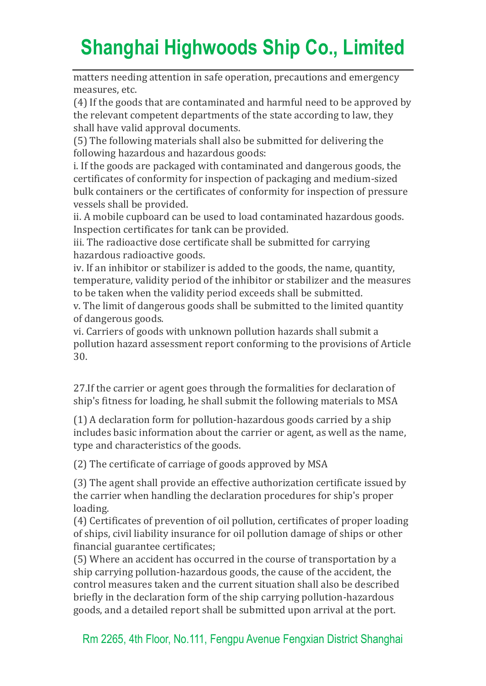matters needing attention in safe operation, precautions and emergency measures, etc.

(4) If the goods that are contaminated and harmful need to be approved by the relevant competent departments of the state according to law, they shall have valid approval documents.

(5) The following materials shall also be submitted for delivering the following hazardous and hazardous goods:

i. If the goods are packaged with contaminated and dangerous goods, the certificates of conformity for inspection of packaging and medium-sized bulk containers or the certificates of conformity for inspection of pressure vessels shall be provided.

ii. A mobile cupboard can be used to load contaminated hazardous goods. Inspection certificates for tank can be provided.

iii. The radioactive dose certificate shall be submitted for carrying hazardous radioactive goods.

iv. If an inhibitor or stabilizer is added to the goods, the name, quantity, temperature, validity period of the inhibitor or stabilizer and the measures to be taken when the validity period exceeds shall be submitted.

v. The limit of dangerous goods shall be submitted to the limited quantity of dangerous goods.

vi. Carriers of goods with unknown pollution hazards shall submit a pollution hazard assessment report conforming to the provisions of Article 30.

27.If the carrier or agent goes through the formalities for declaration of ship's fitness for loading, he shall submit the following materials to MSA

(1) A declaration form for pollution-hazardous goods carried by a ship includes basic information about the carrier or agent, as well as the name, type and characteristics of the goods.

(2) The certificate of carriage of goods approved by MSA

(3) The agent shall provide an effective authorization certificate issued by the carrier when handling the declaration procedures for ship's proper loading.

(4) Certificates of prevention of oil pollution, certificates of proper loading of ships, civil liability insurance for oil pollution damage of ships or other financial guarantee certificates;

(5) Where an accident has occurred in the course of transportation by a ship carrying pollution-hazardous goods, the cause of the accident, the control measures taken and the current situation shall also be described briefly in the declaration form of the ship carrying pollution-hazardous goods, and a detailed report shall be submitted upon arrival at the port.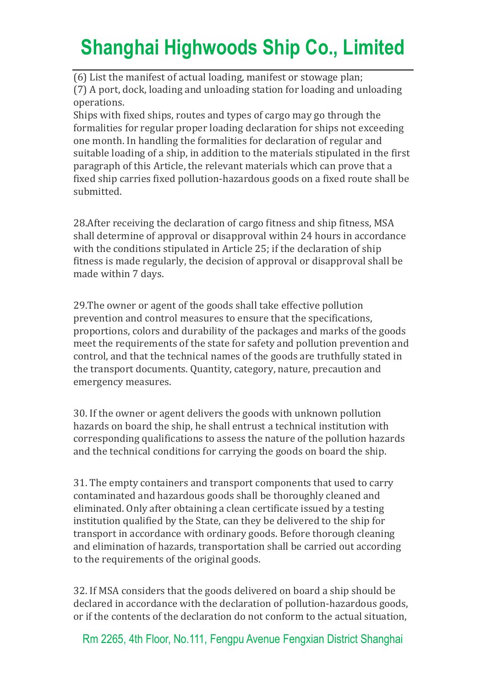(6) List the manifest of actual loading, manifest or stowage plan; (7) A port, dock, loading and unloading station for loading and unloading operations.

Ships with fixed ships, routes and types of cargo may go through the formalities for regular proper loading declaration for ships not exceeding one month. In handling the formalities for declaration of regular and suitable loading of a ship, in addition to the materials stipulated in the first paragraph of this Article, the relevant materials which can prove that a fixed ship carries fixed pollution-hazardous goods on a fixed route shall be submitted.

28.After receiving the declaration of cargo fitness and ship fitness, MSA shall determine of approval or disapproval within 24 hours in accordance with the conditions stipulated in Article 25; if the declaration of ship fitness is made regularly, the decision of approval or disapproval shall be made within 7 days.

29.The owner or agent of the goods shall take effective pollution prevention and control measures to ensure that the specifications, proportions, colors and durability of the packages and marks of the goods meet the requirements of the state for safety and pollution prevention and control, and that the technical names of the goods are truthfully stated in the transport documents. Quantity, category, nature, precaution and emergency measures.

30. If the owner or agent delivers the goods with unknown pollution hazards on board the ship, he shall entrust a technical institution with corresponding qualifications to assess the nature of the pollution hazards and the technical conditions for carrying the goods on board the ship.

31. The empty containers and transport components that used to carry contaminated and hazardous goods shall be thoroughly cleaned and eliminated. Only after obtaining a clean certificate issued by a testing institution qualified by the State, can they be delivered to the ship for transport in accordance with ordinary goods. Before thorough cleaning and elimination of hazards, transportation shall be carried out according to the requirements of the original goods.

32. If MSA considers that the goods delivered on board a ship should be declared in accordance with the declaration of pollution-hazardous goods, or if the contents of the declaration do not conform to the actual situation,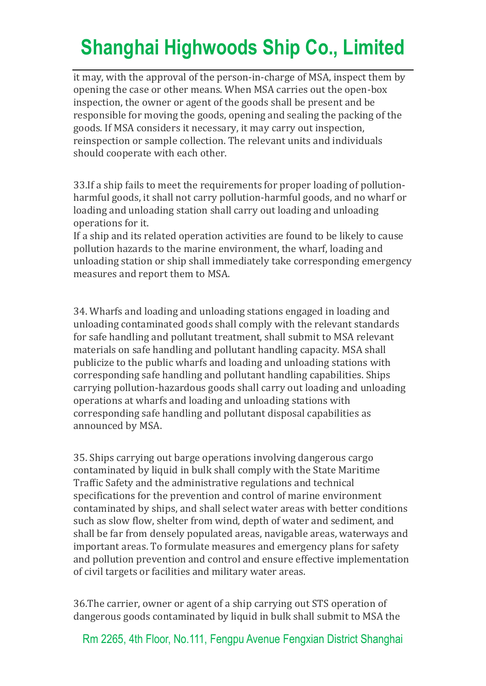it may, with the approval of the person-in-charge of MSA, inspect them by opening the case or other means. When MSA carries out the open-box inspection, the owner or agent of the goods shall be present and be responsible for moving the goods, opening and sealing the packing of the goods. If MSA considers it necessary, it may carry out inspection, reinspection or sample collection. The relevant units and individuals should cooperate with each other.

33.If a ship fails to meet the requirements for proper loading of pollutionharmful goods, it shall not carry pollution-harmful goods, and no wharf or loading and unloading station shall carry out loading and unloading operations for it.

If a ship and its related operation activities are found to be likely to cause pollution hazards to the marine environment, the wharf, loading and unloading station or ship shall immediately take corresponding emergency measures and report them to MSA.

34. Wharfs and loading and unloading stations engaged in loading and unloading contaminated goods shall comply with the relevant standards for safe handling and pollutant treatment, shall submit to MSA relevant materials on safe handling and pollutant handling capacity. MSA shall publicize to the public wharfs and loading and unloading stations with corresponding safe handling and pollutant handling capabilities. Ships carrying pollution-hazardous goods shall carry out loading and unloading operations at wharfs and loading and unloading stations with corresponding safe handling and pollutant disposal capabilities as announced by MSA.

35. Ships carrying out barge operations involving dangerous cargo contaminated by liquid in bulk shall comply with the State Maritime Traffic Safety and the administrative regulations and technical specifications for the prevention and control of marine environment contaminated by ships, and shall select water areas with better conditions such as slow flow, shelter from wind, depth of water and sediment, and shall be far from densely populated areas, navigable areas, waterways and important areas. To formulate measures and emergency plans for safety and pollution prevention and control and ensure effective implementation of civil targets or facilities and military water areas.

36.The carrier, owner or agent of a ship carrying out STS operation of dangerous goods contaminated by liquid in bulk shall submit to MSA the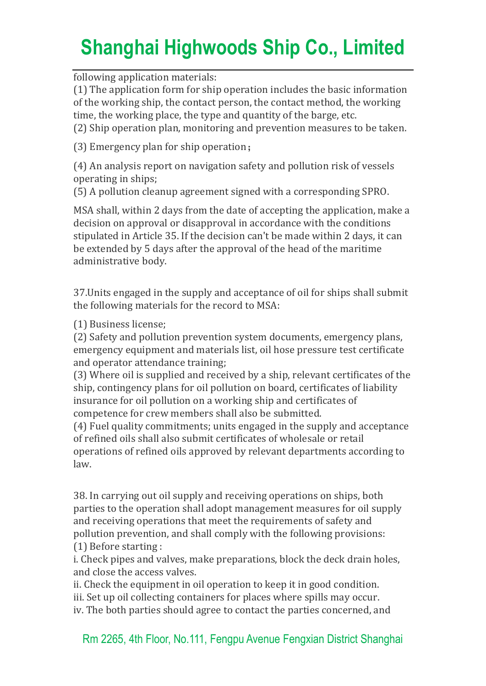following application materials:

(1) The application form for ship operation includes the basic information of the working ship, the contact person, the contact method, the working time, the working place, the type and quantity of the barge, etc. (2) Ship operation plan, monitoring and prevention measures to be taken.

(3) Emergency plan for ship operation;

(4) An analysis report on navigation safety and pollution risk of vessels operating in ships;

(5) A pollution cleanup agreement signed with a corresponding SPRO.

MSA shall, within 2 days from the date of accepting the application, make a decision on approval or disapproval in accordance with the conditions stipulated in Article 35. If the decision can't be made within 2 days, it can be extended by 5 days after the approval of the head of the maritime administrative body.

37.Units engaged in the supply and acceptance of oil for ships shall submit the following materials for the record to MSA:

(1) Business license;

(2) Safety and pollution prevention system documents, emergency plans, emergency equipment and materials list, oil hose pressure test certificate and operator attendance training;

(3) Where oil is supplied and received by a ship, relevant certificates of the ship, contingency plans for oil pollution on board, certificates of liability insurance for oil pollution on a working ship and certificates of competence for crew members shall also be submitted.

(4) Fuel quality commitments; units engaged in the supply and acceptance of refined oils shall also submit certificates of wholesale or retail operations of refined oils approved by relevant departments according to law.

38. In carrying out oil supply and receiving operations on ships, both parties to the operation shall adopt management measures for oil supply and receiving operations that meet the requirements of safety and pollution prevention, and shall comply with the following provisions: (1) Before starting :

i. Check pipes and valves, make preparations, block the deck drain holes, and close the access valves.

ii. Check the equipment in oil operation to keep it in good condition. iii. Set up oil collecting containers for places where spills may occur. iv. The both parties should agree to contact the parties concerned, and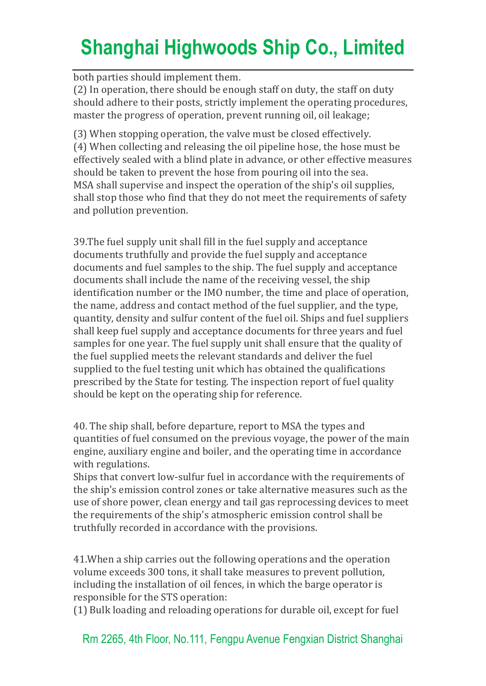both parties should implement them.

(2) In operation, there should be enough staff on duty, the staff on duty should adhere to their posts, strictly implement the operating procedures, master the progress of operation, prevent running oil, oil leakage;

(3) When stopping operation, the valve must be closed effectively. (4) When collecting and releasing the oil pipeline hose, the hose must be effectively sealed with a blind plate in advance, or other effective measures should be taken to prevent the hose from pouring oil into the sea. MSA shall supervise and inspect the operation of the ship's oil supplies, shall stop those who find that they do not meet the requirements of safety and pollution prevention.

39.The fuel supply unit shall fill in the fuel supply and acceptance documents truthfully and provide the fuel supply and acceptance documents and fuel samples to the ship. The fuel supply and acceptance documents shall include the name of the receiving vessel, the ship identification number or the IMO number, the time and place of operation, the name, address and contact method of the fuel supplier, and the type, quantity, density and sulfur content of the fuel oil. Ships and fuel suppliers shall keep fuel supply and acceptance documents for three years and fuel samples for one year. The fuel supply unit shall ensure that the quality of the fuel supplied meets the relevant standards and deliver the fuel supplied to the fuel testing unit which has obtained the qualifications prescribed by the State for testing. The inspection report of fuel quality should be kept on the operating ship for reference.

40. The ship shall, before departure, report to MSA the types and quantities of fuel consumed on the previous voyage, the power of the main engine, auxiliary engine and boiler, and the operating time in accordance with regulations.

Ships that convert low-sulfur fuel in accordance with the requirements of the ship's emission control zones or take alternative measures such as the use of shore power, clean energy and tail gas reprocessing devices to meet the requirements of the ship's atmospheric emission control shall be truthfully recorded in accordance with the provisions.

41.When a ship carries out the following operations and the operation volume exceeds 300 tons, it shall take measures to prevent pollution, including the installation of oil fences, in which the barge operator is responsible for the STS operation:

(1) Bulk loading and reloading operations for durable oil, except for fuel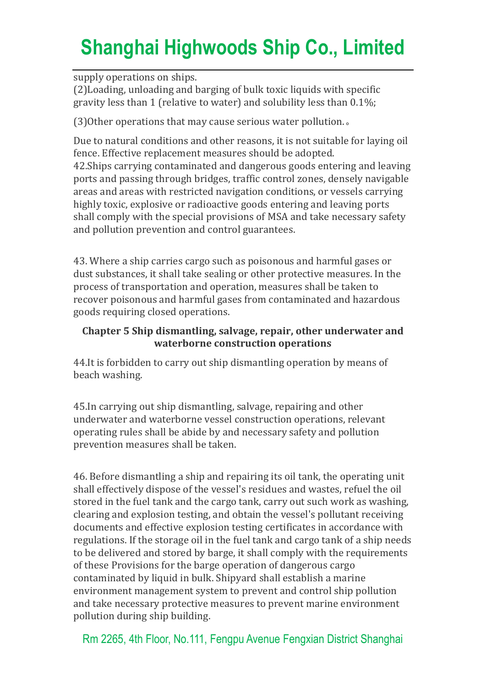supply operations on ships.

(2)Loading, unloading and barging of bulk toxic liquids with specific gravity less than 1 (relative to water) and solubility less than 0.1%;

(3)Other operations that may cause serious water pollution.。

Due to natural conditions and other reasons, it is not suitable for laying oil fence. Effective replacement measures should be adopted.

42.Ships carrying contaminated and dangerous goods entering and leaving ports and passing through bridges, traffic control zones, densely navigable areas and areas with restricted navigation conditions, or vessels carrying highly toxic, explosive or radioactive goods entering and leaving ports shall comply with the special provisions of MSA and take necessary safety and pollution prevention and control guarantees.

43. Where a ship carries cargo such as poisonous and harmful gases or dust substances, it shall take sealing or other protective measures. In the process of transportation and operation, measures shall be taken to recover poisonous and harmful gases from contaminated and hazardous goods requiring closed operations.

#### **Chapter 5 Ship dismantling, salvage, repair, other underwater and waterborne construction operations**

44.It is forbidden to carry out ship dismantling operation by means of beach washing.

45.In carrying out ship dismantling, salvage, repairing and other underwater and waterborne vessel construction operations, relevant operating rules shall be abide by and necessary safety and pollution prevention measures shall be taken.

46. Before dismantling a ship and repairing its oil tank, the operating unit shall effectively dispose of the vessel's residues and wastes, refuel the oil stored in the fuel tank and the cargo tank, carry out such work as washing, clearing and explosion testing, and obtain the vessel's pollutant receiving documents and effective explosion testing certificates in accordance with regulations. If the storage oil in the fuel tank and cargo tank of a ship needs to be delivered and stored by barge, it shall comply with the requirements of these Provisions for the barge operation of dangerous cargo contaminated by liquid in bulk. Shipyard shall establish a marine environment management system to prevent and control ship pollution and take necessary protective measures to prevent marine environment pollution during ship building.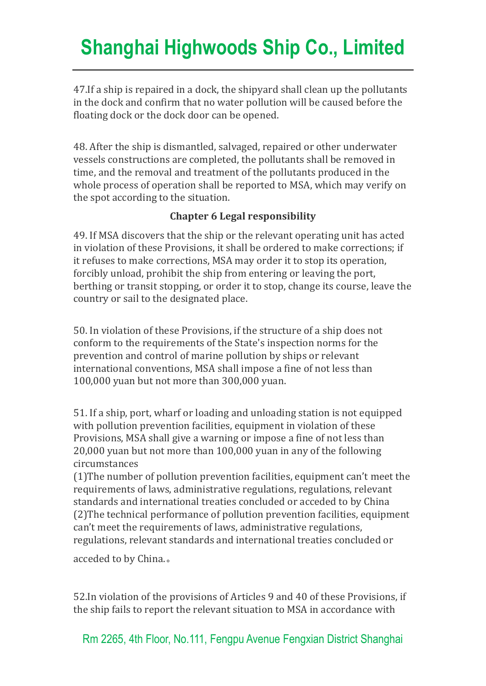47.If a ship is repaired in a dock, the shipyard shall clean up the pollutants in the dock and confirm that no water pollution will be caused before the floating dock or the dock door can be opened.

48. After the ship is dismantled, salvaged, repaired or other underwater vessels constructions are completed, the pollutants shall be removed in time, and the removal and treatment of the pollutants produced in the whole process of operation shall be reported to MSA, which may verify on the spot according to the situation.

#### **Chapter 6 Legal responsibility**

49. If MSA discovers that the ship or the relevant operating unit has acted in violation of these Provisions, it shall be ordered to make corrections; if it refuses to make corrections, MSA may order it to stop its operation, forcibly unload, prohibit the ship from entering or leaving the port, berthing or transit stopping, or order it to stop, change its course, leave the country or sail to the designated place.

50. In violation of these Provisions, if the structure of a ship does not conform to the requirements of the State's inspection norms for the prevention and control of marine pollution by ships or relevant international conventions, MSA shall impose a fine of not less than 100,000 yuan but not more than 300,000 yuan.

51. If a ship, port, wharf or loading and unloading station is not equipped with pollution prevention facilities, equipment in violation of these Provisions, MSA shall give a warning or impose a fine of not less than 20,000 yuan but not more than 100,000 yuan in any of the following circumstances

(1)The number of pollution prevention facilities, equipment can't meet the requirements of laws, administrative regulations, regulations, relevant standards and international treaties concluded or acceded to by China (2)The technical performance of pollution prevention facilities, equipment can't meet the requirements of laws, administrative regulations, regulations, relevant standards and international treaties concluded or

acceded to by China.。

52.In violation of the provisions of Articles 9 and 40 of these Provisions, if the ship fails to report the relevant situation to MSA in accordance with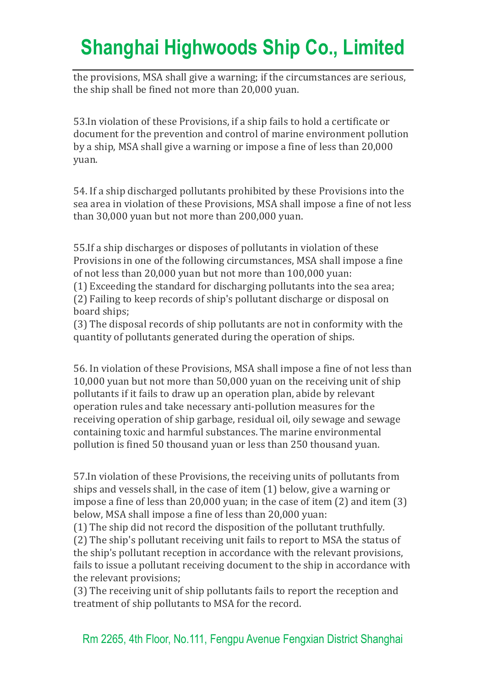the provisions, MSA shall give a warning; if the circumstances are serious, the ship shall be fined not more than 20,000 yuan.

53.In violation of these Provisions, if a ship fails to hold a certificate or document for the prevention and control of marine environment pollution by a ship, MSA shall give a warning or impose a fine of less than 20,000 yuan.

54. If a ship discharged pollutants prohibited by these Provisions into the sea area in violation of these Provisions, MSA shall impose a fine of not less than 30,000 yuan but not more than 200,000 yuan.

55.If a ship discharges or disposes of pollutants in violation of these Provisions in one of the following circumstances, MSA shall impose a fine of not less than 20,000 yuan but not more than 100,000 yuan:

(1) Exceeding the standard for discharging pollutants into the sea area; (2) Failing to keep records of ship's pollutant discharge or disposal on board ships;

(3) The disposal records of ship pollutants are not in conformity with the quantity of pollutants generated during the operation of ships.

56. In violation of these Provisions, MSA shall impose a fine of not less than 10,000 yuan but not more than 50,000 yuan on the receiving unit of ship pollutants if it fails to draw up an operation plan, abide by relevant operation rules and take necessary anti-pollution measures for the receiving operation of ship garbage, residual oil, oily sewage and sewage containing toxic and harmful substances. The marine environmental pollution is fined 50 thousand yuan or less than 250 thousand yuan.

57.In violation of these Provisions, the receiving units of pollutants from ships and vessels shall, in the case of item (1) below, give a warning or impose a fine of less than 20,000 yuan; in the case of item (2) and item (3) below, MSA shall impose a fine of less than 20,000 yuan:

(1) The ship did not record the disposition of the pollutant truthfully.

(2) The ship's pollutant receiving unit fails to report to MSA the status of the ship's pollutant reception in accordance with the relevant provisions, fails to issue a pollutant receiving document to the ship in accordance with the relevant provisions;

(3) The receiving unit of ship pollutants fails to report the reception and treatment of ship pollutants to MSA for the record.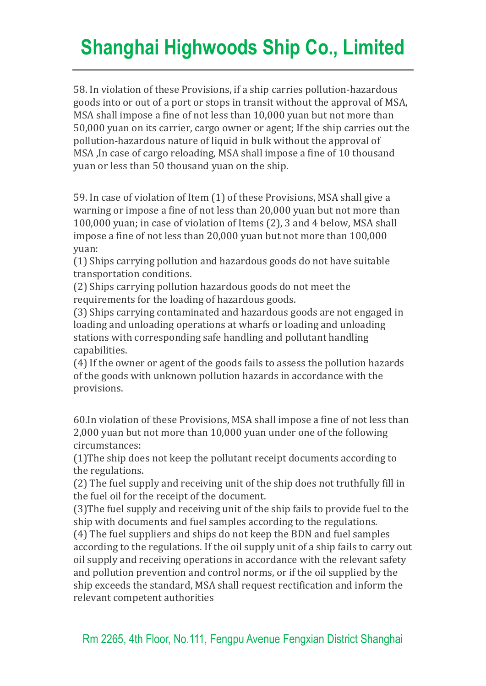58. In violation of these Provisions, if a ship carries pollution-hazardous goods into or out of a port or stops in transit without the approval of MSA, MSA shall impose a fine of not less than 10,000 yuan but not more than 50,000 yuan on its carrier, cargo owner or agent; If the ship carries out the pollution-hazardous nature of liquid in bulk without the approval of MSA ,In case of cargo reloading, MSA shall impose a fine of 10 thousand yuan or less than 50 thousand yuan on the ship.

59. In case of violation of Item (1) of these Provisions, MSA shall give a warning or impose a fine of not less than 20,000 yuan but not more than 100,000 yuan; in case of violation of Items (2), 3 and 4 below, MSA shall impose a fine of not less than 20,000 yuan but not more than 100,000 yuan:

(1) Ships carrying pollution and hazardous goods do not have suitable transportation conditions.

(2) Ships carrying pollution hazardous goods do not meet the requirements for the loading of hazardous goods.

(3) Ships carrying contaminated and hazardous goods are not engaged in loading and unloading operations at wharfs or loading and unloading stations with corresponding safe handling and pollutant handling capabilities.

(4) If the owner or agent of the goods fails to assess the pollution hazards of the goods with unknown pollution hazards in accordance with the provisions.

60.In violation of these Provisions, MSA shall impose a fine of not less than 2,000 yuan but not more than 10,000 yuan under one of the following circumstances:

(1)The ship does not keep the pollutant receipt documents according to the regulations.

(2) The fuel supply and receiving unit of the ship does not truthfully fill in the fuel oil for the receipt of the document.

(3)The fuel supply and receiving unit of the ship fails to provide fuel to the ship with documents and fuel samples according to the regulations.

(4) The fuel suppliers and ships do not keep the BDN and fuel samples according to the regulations. If the oil supply unit of a ship fails to carry out oil supply and receiving operations in accordance with the relevant safety and pollution prevention and control norms, or if the oil supplied by the ship exceeds the standard, MSA shall request rectification and inform the relevant competent authorities